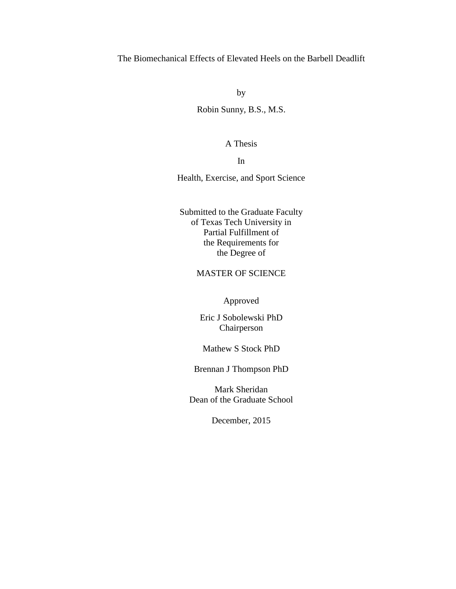## The Biomechanical Effects of Elevated Heels on the Barbell Deadlift

by

Robin Sunny, B.S., M.S.

A Thesis

In

Health, Exercise, and Sport Science

Submitted to the Graduate Faculty of Texas Tech University in Partial Fulfillment of the Requirements for the Degree of

### MASTER OF SCIENCE

Approved

Eric J Sobolewski PhD Chairperson

Mathew S Stock PhD

Brennan J Thompson PhD

Mark Sheridan Dean of the Graduate School

December, 2015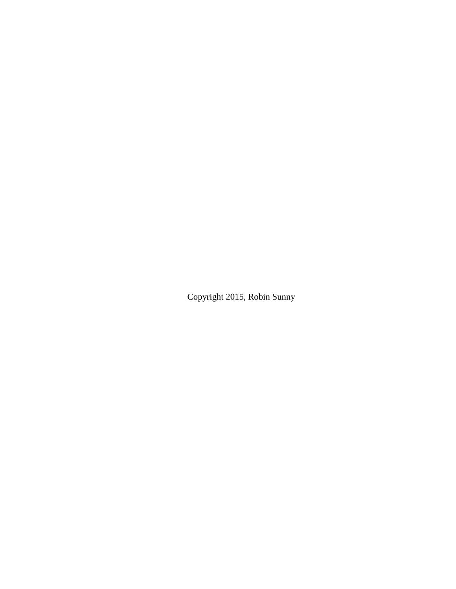Copyright 2015, Robin Sunny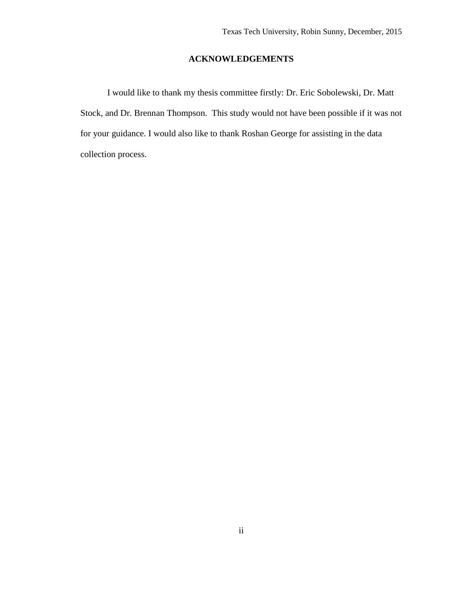## **ACKNOWLEDGEMENTS**

I would like to thank my thesis committee firstly: Dr. Eric Sobolewski, Dr. Matt Stock, and Dr. Brennan Thompson. This study would not have been possible if it was not for your guidance. I would also like to thank Roshan George for assisting in the data collection process.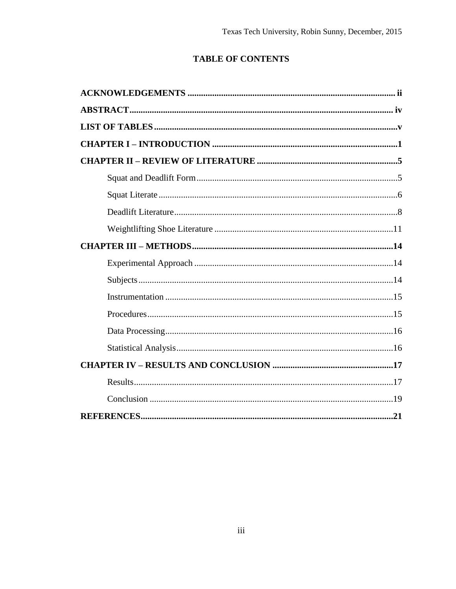# **TABLE OF CONTENTS**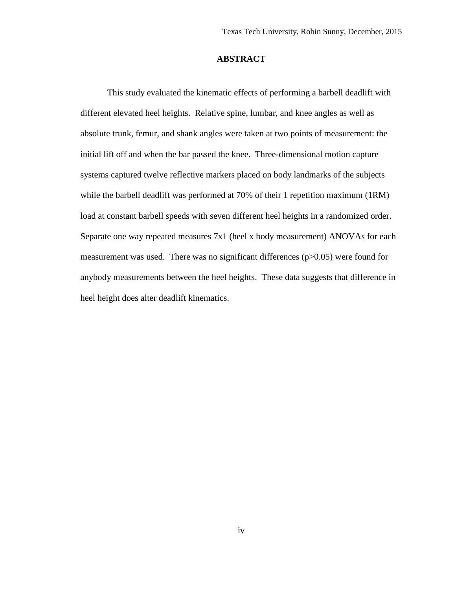#### **ABSTRACT**

This study evaluated the kinematic effects of performing a barbell deadlift with different elevated heel heights. Relative spine, lumbar, and knee angles as well as absolute trunk, femur, and shank angles were taken at two points of measurement: the initial lift off and when the bar passed the knee. Three-dimensional motion capture systems captured twelve reflective markers placed on body landmarks of the subjects while the barbell deadlift was performed at 70% of their 1 repetition maximum (1RM) load at constant barbell speeds with seven different heel heights in a randomized order. Separate one way repeated measures 7x1 (heel x body measurement) ANOVAs for each measurement was used. There was no significant differences (p>0.05) were found for anybody measurements between the heel heights. These data suggests that difference in heel height does alter deadlift kinematics.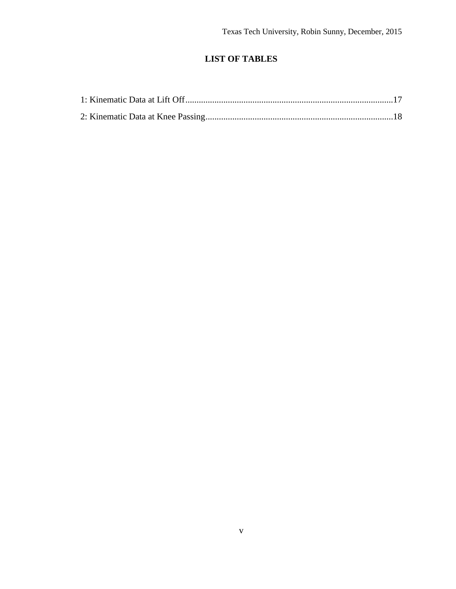## **LIST OF TABLES**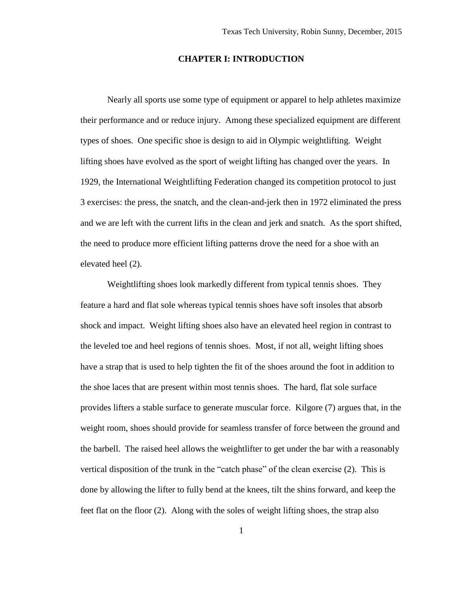#### **CHAPTER I: INTRODUCTION**

Nearly all sports use some type of equipment or apparel to help athletes maximize their performance and or reduce injury. Among these specialized equipment are different types of shoes. One specific shoe is design to aid in Olympic weightlifting. Weight lifting shoes have evolved as the sport of weight lifting has changed over the years. In 1929, the International Weightlifting Federation changed its competition protocol to just 3 exercises: the press, the snatch, and the clean-and-jerk then in 1972 eliminated the press and we are left with the current lifts in the clean and jerk and snatch. As the sport shifted, the need to produce more efficient lifting patterns drove the need for a shoe with an elevated heel (2).

Weightlifting shoes look markedly different from typical tennis shoes. They feature a hard and flat sole whereas typical tennis shoes have soft insoles that absorb shock and impact. Weight lifting shoes also have an elevated heel region in contrast to the leveled toe and heel regions of tennis shoes. Most, if not all, weight lifting shoes have a strap that is used to help tighten the fit of the shoes around the foot in addition to the shoe laces that are present within most tennis shoes. The hard, flat sole surface provides lifters a stable surface to generate muscular force. Kilgore (7) argues that, in the weight room, shoes should provide for seamless transfer of force between the ground and the barbell. The raised heel allows the weightlifter to get under the bar with a reasonably vertical disposition of the trunk in the "catch phase" of the clean exercise (2). This is done by allowing the lifter to fully bend at the knees, tilt the shins forward, and keep the feet flat on the floor (2). Along with the soles of weight lifting shoes, the strap also

1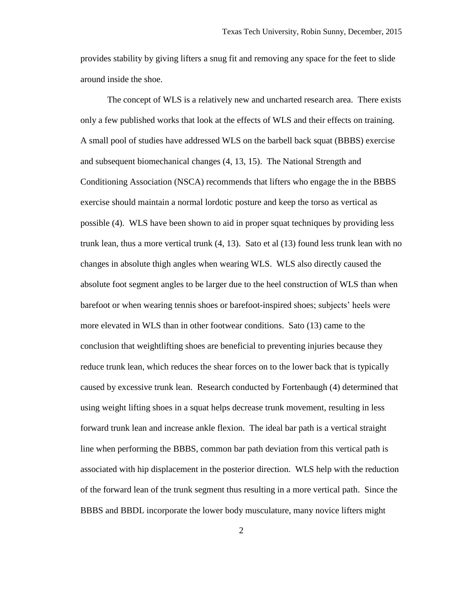provides stability by giving lifters a snug fit and removing any space for the feet to slide around inside the shoe.

The concept of WLS is a relatively new and uncharted research area. There exists only a few published works that look at the effects of WLS and their effects on training. A small pool of studies have addressed WLS on the barbell back squat (BBBS) exercise and subsequent biomechanical changes (4, 13, 15). The National Strength and Conditioning Association (NSCA) recommends that lifters who engage the in the BBBS exercise should maintain a normal lordotic posture and keep the torso as vertical as possible (4). WLS have been shown to aid in proper squat techniques by providing less trunk lean, thus a more vertical trunk (4, 13). Sato et al (13) found less trunk lean with no changes in absolute thigh angles when wearing WLS. WLS also directly caused the absolute foot segment angles to be larger due to the heel construction of WLS than when barefoot or when wearing tennis shoes or barefoot-inspired shoes; subjects' heels were more elevated in WLS than in other footwear conditions. Sato (13) came to the conclusion that weightlifting shoes are beneficial to preventing injuries because they reduce trunk lean, which reduces the shear forces on to the lower back that is typically caused by excessive trunk lean. Research conducted by Fortenbaugh (4) determined that using weight lifting shoes in a squat helps decrease trunk movement, resulting in less forward trunk lean and increase ankle flexion. The ideal bar path is a vertical straight line when performing the BBBS, common bar path deviation from this vertical path is associated with hip displacement in the posterior direction. WLS help with the reduction of the forward lean of the trunk segment thus resulting in a more vertical path. Since the BBBS and BBDL incorporate the lower body musculature, many novice lifters might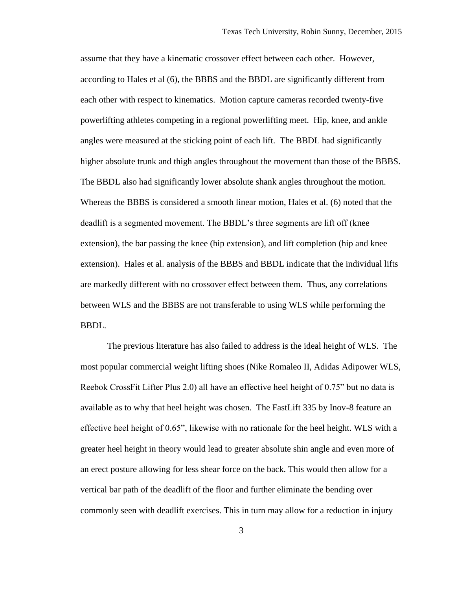assume that they have a kinematic crossover effect between each other. However, according to Hales et al (6), the BBBS and the BBDL are significantly different from each other with respect to kinematics. Motion capture cameras recorded twenty-five powerlifting athletes competing in a regional powerlifting meet. Hip, knee, and ankle angles were measured at the sticking point of each lift. The BBDL had significantly higher absolute trunk and thigh angles throughout the movement than those of the BBBS. The BBDL also had significantly lower absolute shank angles throughout the motion. Whereas the BBBS is considered a smooth linear motion, Hales et al. (6) noted that the deadlift is a segmented movement. The BBDL's three segments are lift off (knee extension), the bar passing the knee (hip extension), and lift completion (hip and knee extension). Hales et al. analysis of the BBBS and BBDL indicate that the individual lifts are markedly different with no crossover effect between them. Thus, any correlations between WLS and the BBBS are not transferable to using WLS while performing the BBDL.

The previous literature has also failed to address is the ideal height of WLS. The most popular commercial weight lifting shoes (Nike Romaleo II, Adidas Adipower WLS, Reebok CrossFit Lifter Plus 2.0) all have an effective heel height of 0.75" but no data is available as to why that heel height was chosen. The FastLift 335 by Inov-8 feature an effective heel height of 0.65", likewise with no rationale for the heel height. WLS with a greater heel height in theory would lead to greater absolute shin angle and even more of an erect posture allowing for less shear force on the back. This would then allow for a vertical bar path of the deadlift of the floor and further eliminate the bending over commonly seen with deadlift exercises. This in turn may allow for a reduction in injury

3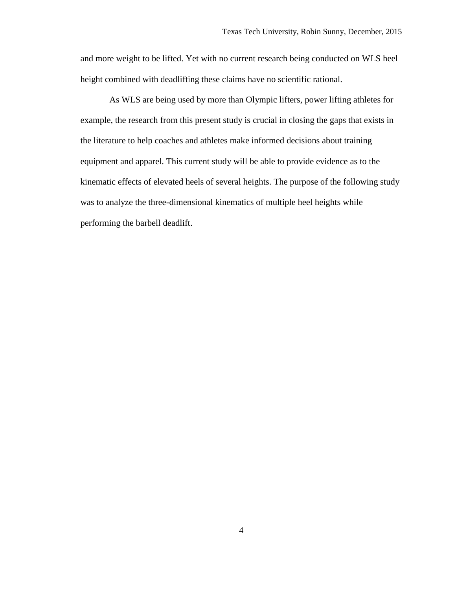and more weight to be lifted. Yet with no current research being conducted on WLS heel height combined with deadlifting these claims have no scientific rational.

As WLS are being used by more than Olympic lifters, power lifting athletes for example, the research from this present study is crucial in closing the gaps that exists in the literature to help coaches and athletes make informed decisions about training equipment and apparel. This current study will be able to provide evidence as to the kinematic effects of elevated heels of several heights. The purpose of the following study was to analyze the three-dimensional kinematics of multiple heel heights while performing the barbell deadlift.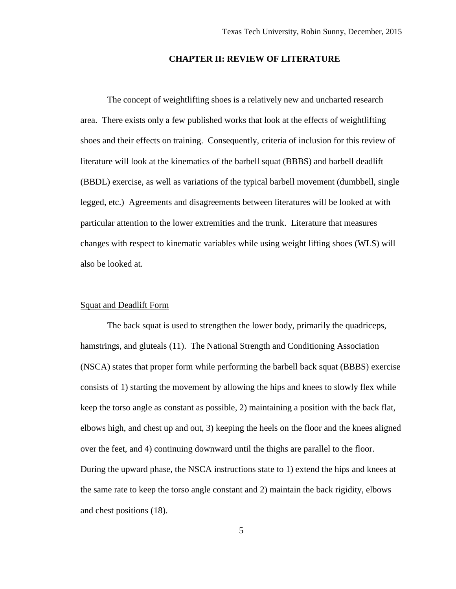#### **CHAPTER II: REVIEW OF LITERATURE**

The concept of weightlifting shoes is a relatively new and uncharted research area. There exists only a few published works that look at the effects of weightlifting shoes and their effects on training. Consequently, criteria of inclusion for this review of literature will look at the kinematics of the barbell squat (BBBS) and barbell deadlift (BBDL) exercise, as well as variations of the typical barbell movement (dumbbell, single legged, etc.) Agreements and disagreements between literatures will be looked at with particular attention to the lower extremities and the trunk. Literature that measures changes with respect to kinematic variables while using weight lifting shoes (WLS) will also be looked at.

#### Squat and Deadlift Form

The back squat is used to strengthen the lower body, primarily the quadriceps, hamstrings, and gluteals (11). The National Strength and Conditioning Association (NSCA) states that proper form while performing the barbell back squat (BBBS) exercise consists of 1) starting the movement by allowing the hips and knees to slowly flex while keep the torso angle as constant as possible, 2) maintaining a position with the back flat, elbows high, and chest up and out, 3) keeping the heels on the floor and the knees aligned over the feet, and 4) continuing downward until the thighs are parallel to the floor. During the upward phase, the NSCA instructions state to 1) extend the hips and knees at the same rate to keep the torso angle constant and 2) maintain the back rigidity, elbows and chest positions (18).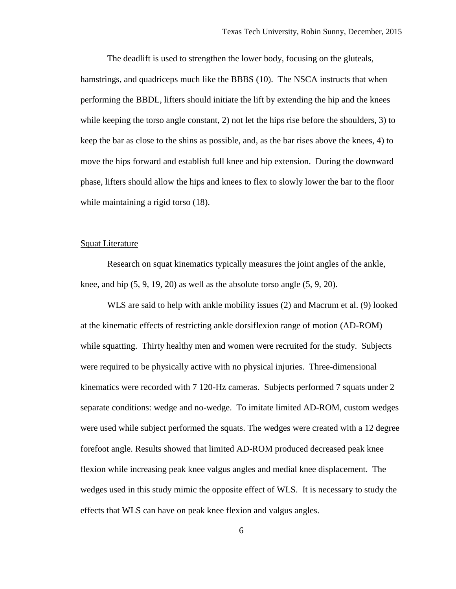The deadlift is used to strengthen the lower body, focusing on the gluteals, hamstrings, and quadriceps much like the BBBS (10). The NSCA instructs that when performing the BBDL, lifters should initiate the lift by extending the hip and the knees while keeping the torso angle constant, 2) not let the hips rise before the shoulders, 3) to keep the bar as close to the shins as possible, and, as the bar rises above the knees, 4) to move the hips forward and establish full knee and hip extension. During the downward phase, lifters should allow the hips and knees to flex to slowly lower the bar to the floor while maintaining a rigid torso  $(18)$ .

#### Squat Literature

Research on squat kinematics typically measures the joint angles of the ankle, knee, and hip  $(5, 9, 19, 20)$  as well as the absolute torso angle  $(5, 9, 20)$ .

WLS are said to help with ankle mobility issues (2) and Macrum et al. (9) looked at the kinematic effects of restricting ankle dorsiflexion range of motion (AD-ROM) while squatting. Thirty healthy men and women were recruited for the study. Subjects were required to be physically active with no physical injuries. Three-dimensional kinematics were recorded with 7 120-Hz cameras. Subjects performed 7 squats under 2 separate conditions: wedge and no-wedge. To imitate limited AD-ROM, custom wedges were used while subject performed the squats. The wedges were created with a 12 degree forefoot angle. Results showed that limited AD-ROM produced decreased peak knee flexion while increasing peak knee valgus angles and medial knee displacement. The wedges used in this study mimic the opposite effect of WLS. It is necessary to study the effects that WLS can have on peak knee flexion and valgus angles.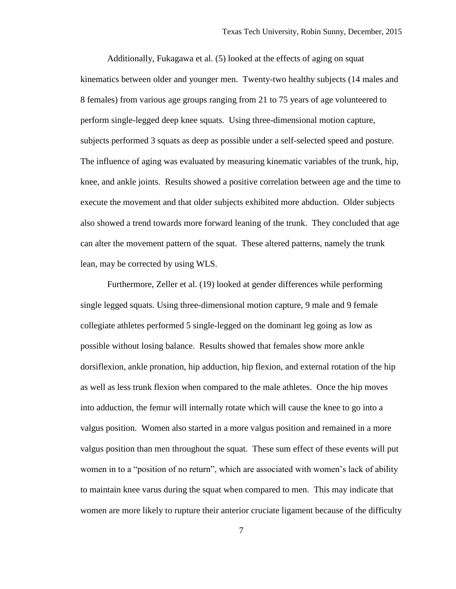Additionally, Fukagawa et al. (5) looked at the effects of aging on squat kinematics between older and younger men. Twenty-two healthy subjects (14 males and 8 females) from various age groups ranging from 21 to 75 years of age volunteered to perform single-legged deep knee squats. Using three-dimensional motion capture, subjects performed 3 squats as deep as possible under a self-selected speed and posture. The influence of aging was evaluated by measuring kinematic variables of the trunk, hip, knee, and ankle joints. Results showed a positive correlation between age and the time to execute the movement and that older subjects exhibited more abduction. Older subjects also showed a trend towards more forward leaning of the trunk. They concluded that age can alter the movement pattern of the squat. These altered patterns, namely the trunk lean, may be corrected by using WLS.

Furthermore, Zeller et al. (19) looked at gender differences while performing single legged squats. Using three-dimensional motion capture, 9 male and 9 female collegiate athletes performed 5 single-legged on the dominant leg going as low as possible without losing balance. Results showed that females show more ankle dorsiflexion, ankle pronation, hip adduction, hip flexion, and external rotation of the hip as well as less trunk flexion when compared to the male athletes. Once the hip moves into adduction, the femur will internally rotate which will cause the knee to go into a valgus position. Women also started in a more valgus position and remained in a more valgus position than men throughout the squat. These sum effect of these events will put women in to a "position of no return", which are associated with women's lack of ability to maintain knee varus during the squat when compared to men. This may indicate that women are more likely to rupture their anterior cruciate ligament because of the difficulty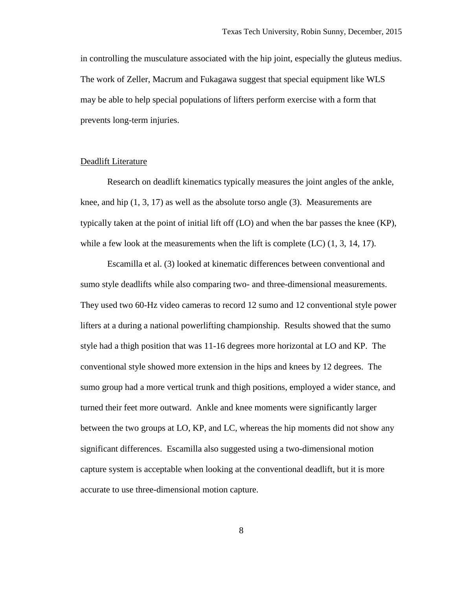in controlling the musculature associated with the hip joint, especially the gluteus medius. The work of Zeller, Macrum and Fukagawa suggest that special equipment like WLS may be able to help special populations of lifters perform exercise with a form that prevents long-term injuries.

#### Deadlift Literature

Research on deadlift kinematics typically measures the joint angles of the ankle, knee, and hip (1, 3, 17) as well as the absolute torso angle (3). Measurements are typically taken at the point of initial lift off (LO) and when the bar passes the knee (KP), while a few look at the measurements when the lift is complete  $(LC)$   $(1, 3, 14, 17)$ .

Escamilla et al. (3) looked at kinematic differences between conventional and sumo style deadlifts while also comparing two- and three-dimensional measurements. They used two 60-Hz video cameras to record 12 sumo and 12 conventional style power lifters at a during a national powerlifting championship. Results showed that the sumo style had a thigh position that was 11-16 degrees more horizontal at LO and KP. The conventional style showed more extension in the hips and knees by 12 degrees. The sumo group had a more vertical trunk and thigh positions, employed a wider stance, and turned their feet more outward. Ankle and knee moments were significantly larger between the two groups at LO, KP, and LC, whereas the hip moments did not show any significant differences. Escamilla also suggested using a two-dimensional motion capture system is acceptable when looking at the conventional deadlift, but it is more accurate to use three-dimensional motion capture.

8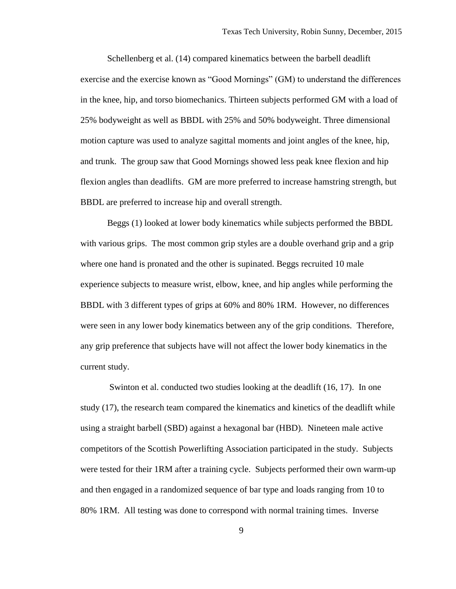Schellenberg et al. (14) compared kinematics between the barbell deadlift exercise and the exercise known as "Good Mornings" (GM) to understand the differences in the knee, hip, and torso biomechanics. Thirteen subjects performed GM with a load of 25% bodyweight as well as BBDL with 25% and 50% bodyweight. Three dimensional motion capture was used to analyze sagittal moments and joint angles of the knee, hip, and trunk. The group saw that Good Mornings showed less peak knee flexion and hip flexion angles than deadlifts. GM are more preferred to increase hamstring strength, but BBDL are preferred to increase hip and overall strength.

Beggs (1) looked at lower body kinematics while subjects performed the BBDL with various grips. The most common grip styles are a double overhand grip and a grip where one hand is pronated and the other is supinated. Beggs recruited 10 male experience subjects to measure wrist, elbow, knee, and hip angles while performing the BBDL with 3 different types of grips at 60% and 80% 1RM. However, no differences were seen in any lower body kinematics between any of the grip conditions. Therefore, any grip preference that subjects have will not affect the lower body kinematics in the current study.

Swinton et al. conducted two studies looking at the deadlift (16, 17). In one study (17), the research team compared the kinematics and kinetics of the deadlift while using a straight barbell (SBD) against a hexagonal bar (HBD). Nineteen male active competitors of the Scottish Powerlifting Association participated in the study. Subjects were tested for their 1RM after a training cycle. Subjects performed their own warm-up and then engaged in a randomized sequence of bar type and loads ranging from 10 to 80% 1RM. All testing was done to correspond with normal training times. Inverse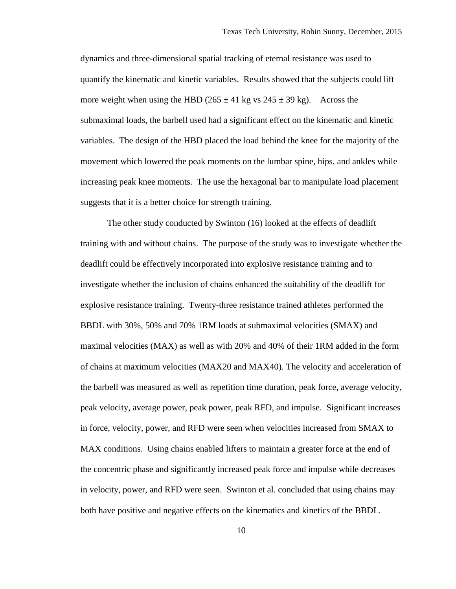dynamics and three-dimensional spatial tracking of eternal resistance was used to quantify the kinematic and kinetic variables. Results showed that the subjects could lift more weight when using the HBD ( $265 \pm 41$  kg vs  $245 \pm 39$  kg). Across the submaximal loads, the barbell used had a significant effect on the kinematic and kinetic variables. The design of the HBD placed the load behind the knee for the majority of the movement which lowered the peak moments on the lumbar spine, hips, and ankles while increasing peak knee moments. The use the hexagonal bar to manipulate load placement suggests that it is a better choice for strength training.

The other study conducted by Swinton (16) looked at the effects of deadlift training with and without chains. The purpose of the study was to investigate whether the deadlift could be effectively incorporated into explosive resistance training and to investigate whether the inclusion of chains enhanced the suitability of the deadlift for explosive resistance training. Twenty-three resistance trained athletes performed the BBDL with 30%, 50% and 70% 1RM loads at submaximal velocities (SMAX) and maximal velocities (MAX) as well as with 20% and 40% of their 1RM added in the form of chains at maximum velocities (MAX20 and MAX40). The velocity and acceleration of the barbell was measured as well as repetition time duration, peak force, average velocity, peak velocity, average power, peak power, peak RFD, and impulse. Significant increases in force, velocity, power, and RFD were seen when velocities increased from SMAX to MAX conditions. Using chains enabled lifters to maintain a greater force at the end of the concentric phase and significantly increased peak force and impulse while decreases in velocity, power, and RFD were seen. Swinton et al. concluded that using chains may both have positive and negative effects on the kinematics and kinetics of the BBDL.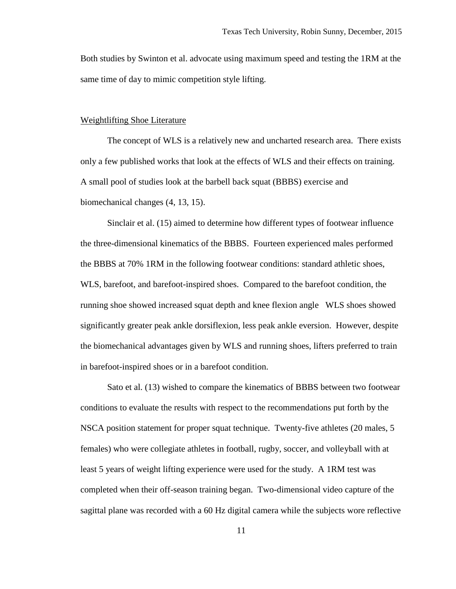Both studies by Swinton et al. advocate using maximum speed and testing the 1RM at the same time of day to mimic competition style lifting.

#### Weightlifting Shoe Literature

The concept of WLS is a relatively new and uncharted research area. There exists only a few published works that look at the effects of WLS and their effects on training. A small pool of studies look at the barbell back squat (BBBS) exercise and biomechanical changes (4, 13, 15).

Sinclair et al. (15) aimed to determine how different types of footwear influence the three-dimensional kinematics of the BBBS. Fourteen experienced males performed the BBBS at 70% 1RM in the following footwear conditions: standard athletic shoes, WLS, barefoot, and barefoot-inspired shoes. Compared to the barefoot condition, the running shoe showed increased squat depth and knee flexion angle WLS shoes showed significantly greater peak ankle dorsiflexion, less peak ankle eversion. However, despite the biomechanical advantages given by WLS and running shoes, lifters preferred to train in barefoot-inspired shoes or in a barefoot condition.

Sato et al. (13) wished to compare the kinematics of BBBS between two footwear conditions to evaluate the results with respect to the recommendations put forth by the NSCA position statement for proper squat technique. Twenty-five athletes (20 males, 5 females) who were collegiate athletes in football, rugby, soccer, and volleyball with at least 5 years of weight lifting experience were used for the study. A 1RM test was completed when their off-season training began. Two-dimensional video capture of the sagittal plane was recorded with a 60 Hz digital camera while the subjects wore reflective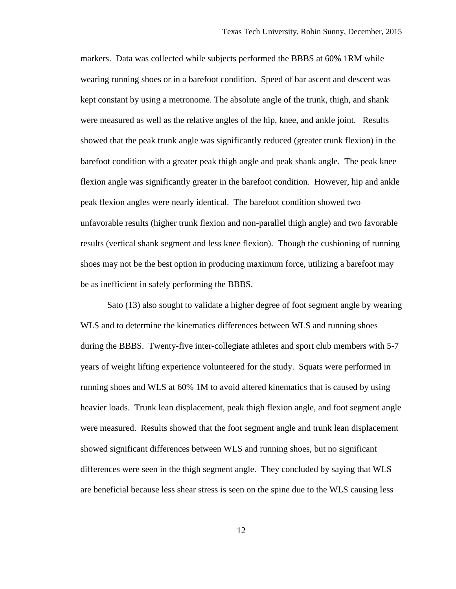markers. Data was collected while subjects performed the BBBS at 60% 1RM while wearing running shoes or in a barefoot condition. Speed of bar ascent and descent was kept constant by using a metronome. The absolute angle of the trunk, thigh, and shank were measured as well as the relative angles of the hip, knee, and ankle joint. Results showed that the peak trunk angle was significantly reduced (greater trunk flexion) in the barefoot condition with a greater peak thigh angle and peak shank angle. The peak knee flexion angle was significantly greater in the barefoot condition. However, hip and ankle peak flexion angles were nearly identical. The barefoot condition showed two unfavorable results (higher trunk flexion and non-parallel thigh angle) and two favorable results (vertical shank segment and less knee flexion). Though the cushioning of running shoes may not be the best option in producing maximum force, utilizing a barefoot may be as inefficient in safely performing the BBBS.

Sato (13) also sought to validate a higher degree of foot segment angle by wearing WLS and to determine the kinematics differences between WLS and running shoes during the BBBS. Twenty-five inter-collegiate athletes and sport club members with 5-7 years of weight lifting experience volunteered for the study. Squats were performed in running shoes and WLS at 60% 1M to avoid altered kinematics that is caused by using heavier loads. Trunk lean displacement, peak thigh flexion angle, and foot segment angle were measured. Results showed that the foot segment angle and trunk lean displacement showed significant differences between WLS and running shoes, but no significant differences were seen in the thigh segment angle. They concluded by saying that WLS are beneficial because less shear stress is seen on the spine due to the WLS causing less

12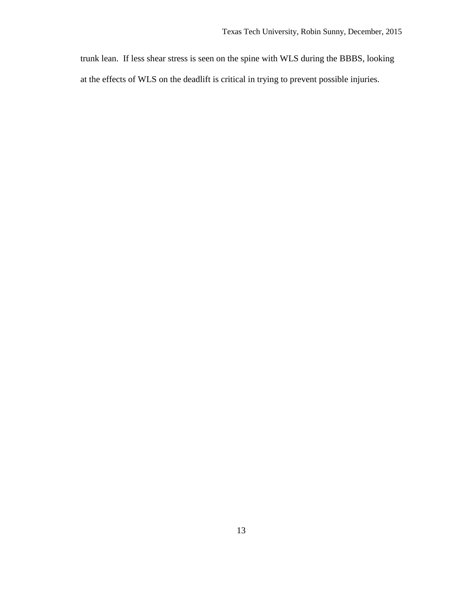trunk lean. If less shear stress is seen on the spine with WLS during the BBBS, looking at the effects of WLS on the deadlift is critical in trying to prevent possible injuries.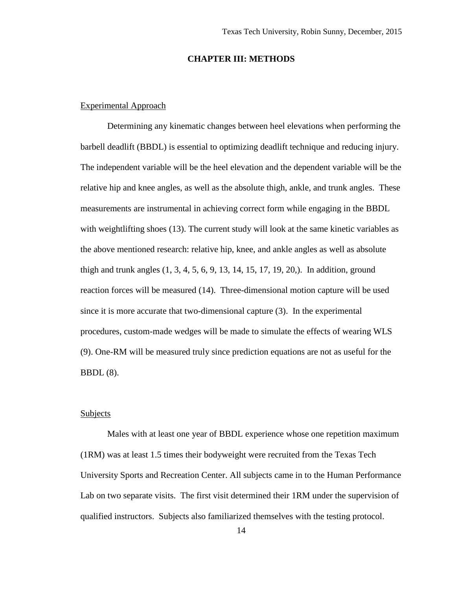#### **CHAPTER III: METHODS**

#### Experimental Approach

Determining any kinematic changes between heel elevations when performing the barbell deadlift (BBDL) is essential to optimizing deadlift technique and reducing injury. The independent variable will be the heel elevation and the dependent variable will be the relative hip and knee angles, as well as the absolute thigh, ankle, and trunk angles. These measurements are instrumental in achieving correct form while engaging in the BBDL with weightlifting shoes (13). The current study will look at the same kinetic variables as the above mentioned research: relative hip, knee, and ankle angles as well as absolute thigh and trunk angles (1, 3, 4, 5, 6, 9, 13, 14, 15, 17, 19, 20,). In addition, ground reaction forces will be measured (14). Three-dimensional motion capture will be used since it is more accurate that two-dimensional capture (3). In the experimental procedures, custom-made wedges will be made to simulate the effects of wearing WLS (9). One-RM will be measured truly since prediction equations are not as useful for the BBDL (8).

#### **Subjects**

Males with at least one year of BBDL experience whose one repetition maximum (1RM) was at least 1.5 times their bodyweight were recruited from the Texas Tech University Sports and Recreation Center. All subjects came in to the Human Performance Lab on two separate visits. The first visit determined their 1RM under the supervision of qualified instructors. Subjects also familiarized themselves with the testing protocol.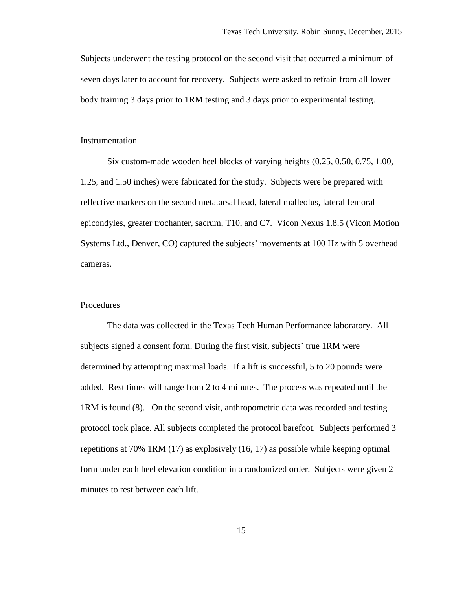Subjects underwent the testing protocol on the second visit that occurred a minimum of seven days later to account for recovery. Subjects were asked to refrain from all lower body training 3 days prior to 1RM testing and 3 days prior to experimental testing.

#### Instrumentation

Six custom-made wooden heel blocks of varying heights (0.25, 0.50, 0.75, 1.00, 1.25, and 1.50 inches) were fabricated for the study. Subjects were be prepared with reflective markers on the second metatarsal head, lateral malleolus, lateral femoral epicondyles, greater trochanter, sacrum, T10, and C7. Vicon Nexus 1.8.5 (Vicon Motion Systems Ltd., Denver, CO) captured the subjects' movements at 100 Hz with 5 overhead cameras.

#### Procedures

The data was collected in the Texas Tech Human Performance laboratory. All subjects signed a consent form. During the first visit, subjects' true 1RM were determined by attempting maximal loads. If a lift is successful, 5 to 20 pounds were added. Rest times will range from 2 to 4 minutes. The process was repeated until the 1RM is found (8). On the second visit, anthropometric data was recorded and testing protocol took place. All subjects completed the protocol barefoot. Subjects performed 3 repetitions at 70% 1RM (17) as explosively (16, 17) as possible while keeping optimal form under each heel elevation condition in a randomized order. Subjects were given 2 minutes to rest between each lift.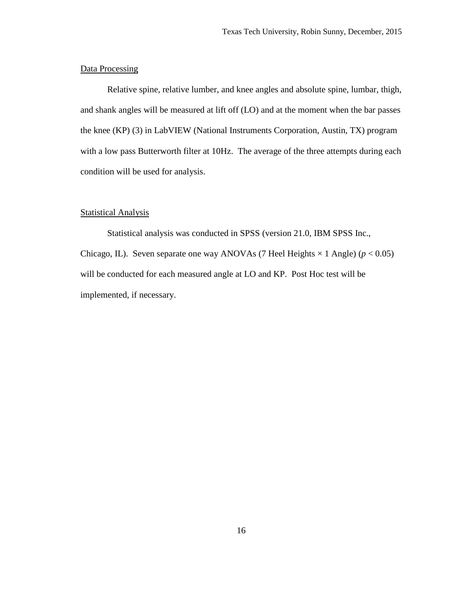#### Data Processing

Relative spine, relative lumber, and knee angles and absolute spine, lumbar, thigh, and shank angles will be measured at lift off (LO) and at the moment when the bar passes the knee (KP) (3) in LabVIEW (National Instruments Corporation, Austin, TX) program with a low pass Butterworth filter at 10Hz. The average of the three attempts during each condition will be used for analysis.

#### Statistical Analysis

Statistical analysis was conducted in SPSS (version 21.0, IBM SPSS Inc., Chicago, IL). Seven separate one way ANOVAs (7 Heel Heights  $\times$  1 Angle) ( $p < 0.05$ ) will be conducted for each measured angle at LO and KP. Post Hoc test will be implemented, if necessary.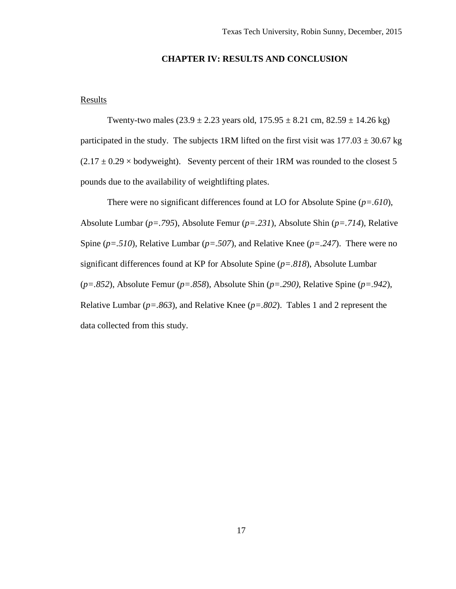### **CHAPTER IV: RESULTS AND CONCLUSION**

#### **Results**

Twenty-two males  $(23.9 \pm 2.23 \text{ years old}, 175.95 \pm 8.21 \text{ cm}, 82.59 \pm 14.26 \text{ kg})$ participated in the study. The subjects 1RM lifted on the first visit was  $177.03 \pm 30.67$  kg  $(2.17 \pm 0.29 \times$  bodyweight). Seventy percent of their 1RM was rounded to the closest 5 pounds due to the availability of weightlifting plates.

There were no significant differences found at LO for Absolute Spine (*p=.610*), Absolute Lumbar (*p=.795*), Absolute Femur (*p=.231*), Absolute Shin (*p=.714*), Relative Spine (*p=.510*), Relative Lumbar (*p=.507*), and Relative Knee (*p=.247*). There were no significant differences found at KP for Absolute Spine (*p=.818*), Absolute Lumbar (*p=.852*), Absolute Femur (*p=.858*), Absolute Shin (*p=.290)*, Relative Spine (*p=.942*), Relative Lumbar (*p=.863*), and Relative Knee (*p=.802*). Tables 1 and 2 represent the data collected from this study.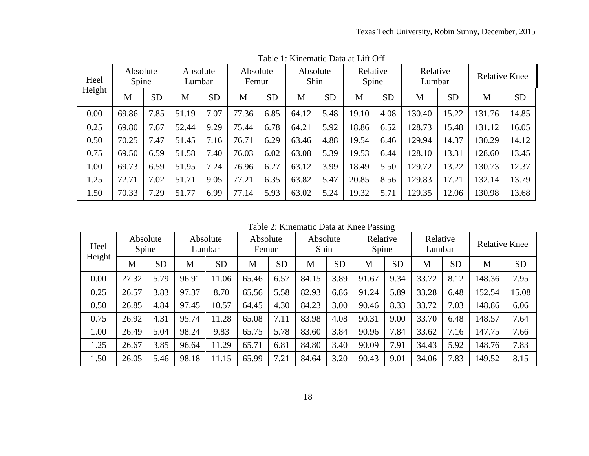| Heel<br>Height | Absolute<br>Spine |           | Absolute<br>Lumbar |           | Absolute<br>Femur |           | Absolute<br>Shin |           | Relative<br>Spine |           | Relative<br>Lumbar |           | <b>Relative Knee</b> |           |
|----------------|-------------------|-----------|--------------------|-----------|-------------------|-----------|------------------|-----------|-------------------|-----------|--------------------|-----------|----------------------|-----------|
|                | M                 | <b>SD</b> | M                  | <b>SD</b> | M                 | <b>SD</b> | M                | <b>SD</b> | M                 | <b>SD</b> | M                  | <b>SD</b> | M                    | <b>SD</b> |
| 0.00           | 69.86             | 7.85      | 51.19              | 7.07      | 77.36             | 6.85      | 64.12            | 5.48      | 19.10             | 4.08      | 130.40             | 15.22     | 131.76               | 14.85     |
| 0.25           | 69.80             | 7.67      | 52.44              | 9.29      | 75.44             | 6.78      | 64.21            | 5.92      | 18.86             | 6.52      | 128.73             | 15.48     | 131.12               | 16.05     |
| 0.50           | 70.25             | 7.47      | 51.45              | 7.16      | 76.71             | 6.29      | 63.46            | 4.88      | 19.54             | 6.46      | 129.94             | 14.37     | 130.29               | 14.12     |
| 0.75           | 69.50             | 6.59      | 51.58              | 40'       | 76.03             | 6.02      | 63.08            | 5.39      | 19.53             | 6.44      | 128.10             | 13.31     | 128.60               | 13.45     |
| 1.00           | 69.73             | 6.59      | 51.95              | 7.24      | 76.96             | 6.27      | 63.12            | 3.99      | 18.49             | 5.50      | 129.72             | 13.22     | 130.73               | 12.37     |
| 1.25           | 72.71             | 7.02      | 51.71              | 9.05      | 77.21             | 6.35      | 63.82            | 5.47      | 20.85             | 8.56      | 129.83             | 17.21     | 132.14               | 13.79     |
| 1.50           | 70.33             | 7.29      | 51.77              | 6.99      | 77.14             | 5.93      | 63.02            | 5.24      | 19.32             | 5.71      | 129.35             | 12.06     | 130.98               | 13.68     |

Table 1: Kinematic Data at Lift Off

Table 2: Kinematic Data at Knee Passing

| Heel<br>Height | Absolute<br>Spine |           | Absolute<br>Lumbar |           | Absolute<br>Femur |           | Absolute<br>Shin |           | Relative<br>Spine |           | Relative<br>Lumbar |           | <b>Relative Knee</b> |           |
|----------------|-------------------|-----------|--------------------|-----------|-------------------|-----------|------------------|-----------|-------------------|-----------|--------------------|-----------|----------------------|-----------|
|                | M                 | <b>SD</b> | M                  | <b>SD</b> | M                 | <b>SD</b> | M                | <b>SD</b> | M                 | <b>SD</b> | M                  | <b>SD</b> | M                    | <b>SD</b> |
| 0.00           | 27.32             | 5.79      | 96.91              | 11.06     | 65.46             | 6.57      | 84.15            | 3.89      | 91.67             | 9.34      | 33.72              | 8.12      | 148.36               | 7.95      |
| 0.25           | 26.57             | 3.83      | 97.37              | 8.70      | 65.56             | 5.58      | 82.93            | 6.86      | 91.24             | 5.89      | 33.28              | 6.48      | 152.54               | 15.08     |
| 0.50           | 26.85             | 4.84      | 97.45              | 10.57     | 64.45             | 4.30      | 84.23            | 3.00      | 90.46             | 8.33      | 33.72              | 7.03      | 148.86               | 6.06      |
| 0.75           | 26.92             | 4.31      | 95.74              | 11.28     | 65.08             | 7.11      | 83.98            | 4.08      | 90.31             | 9.00      | 33.70              | 6.48      | 148.57               | 7.64      |
| 1.00           | 26.49             | 5.04      | 98.24              | 9.83      | 65.75             | 5.78      | 83.60            | 3.84      | 90.96             | 7.84      | 33.62              | 7.16      | 147.75               | 7.66      |
| 1.25           | 26.67             | 3.85      | 96.64              | 11.29     | 65.71             | 6.81      | 84.80            | 3.40      | 90.09             | 7.91      | 34.43              | 5.92      | 148.76               | 7.83      |
| 1.50           | 26.05             | 5.46      | 98.18              | 11.15     | 65.99             | 7.21      | 84.64            | 3.20      | 90.43             | 9.01      | 34.06              | 7.83      | 149.52               | 8.15      |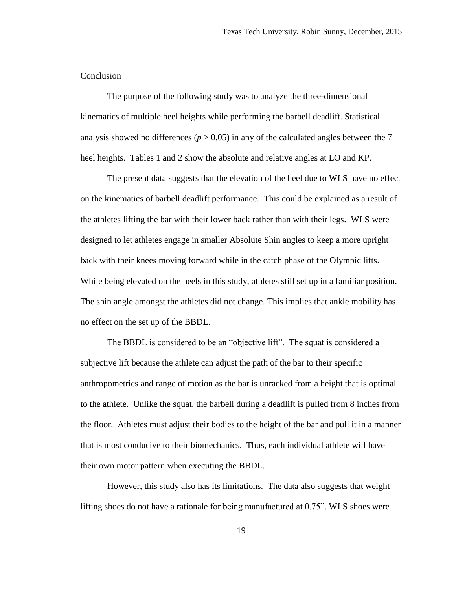#### **Conclusion**

The purpose of the following study was to analyze the three-dimensional kinematics of multiple heel heights while performing the barbell deadlift. Statistical analysis showed no differences ( $p > 0.05$ ) in any of the calculated angles between the 7 heel heights. Tables 1 and 2 show the absolute and relative angles at LO and KP.

The present data suggests that the elevation of the heel due to WLS have no effect on the kinematics of barbell deadlift performance. This could be explained as a result of the athletes lifting the bar with their lower back rather than with their legs. WLS were designed to let athletes engage in smaller Absolute Shin angles to keep a more upright back with their knees moving forward while in the catch phase of the Olympic lifts. While being elevated on the heels in this study, athletes still set up in a familiar position. The shin angle amongst the athletes did not change. This implies that ankle mobility has no effect on the set up of the BBDL.

The BBDL is considered to be an "objective lift". The squat is considered a subjective lift because the athlete can adjust the path of the bar to their specific anthropometrics and range of motion as the bar is unracked from a height that is optimal to the athlete. Unlike the squat, the barbell during a deadlift is pulled from 8 inches from the floor. Athletes must adjust their bodies to the height of the bar and pull it in a manner that is most conducive to their biomechanics. Thus, each individual athlete will have their own motor pattern when executing the BBDL.

However, this study also has its limitations. The data also suggests that weight lifting shoes do not have a rationale for being manufactured at 0.75". WLS shoes were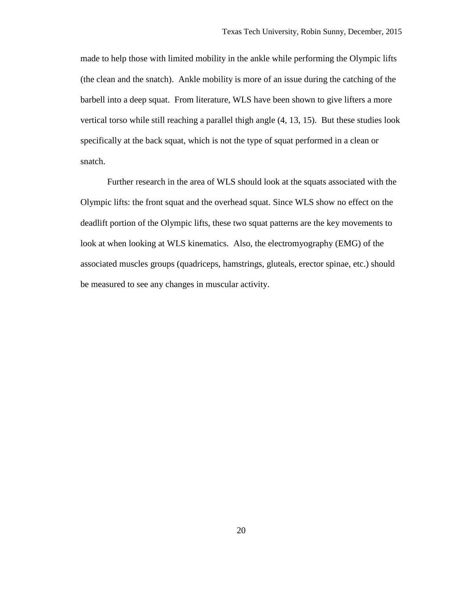made to help those with limited mobility in the ankle while performing the Olympic lifts (the clean and the snatch). Ankle mobility is more of an issue during the catching of the barbell into a deep squat. From literature, WLS have been shown to give lifters a more vertical torso while still reaching a parallel thigh angle (4, 13, 15). But these studies look specifically at the back squat, which is not the type of squat performed in a clean or snatch.

Further research in the area of WLS should look at the squats associated with the Olympic lifts: the front squat and the overhead squat. Since WLS show no effect on the deadlift portion of the Olympic lifts, these two squat patterns are the key movements to look at when looking at WLS kinematics. Also, the electromyography (EMG) of the associated muscles groups (quadriceps, hamstrings, gluteals, erector spinae, etc.) should be measured to see any changes in muscular activity.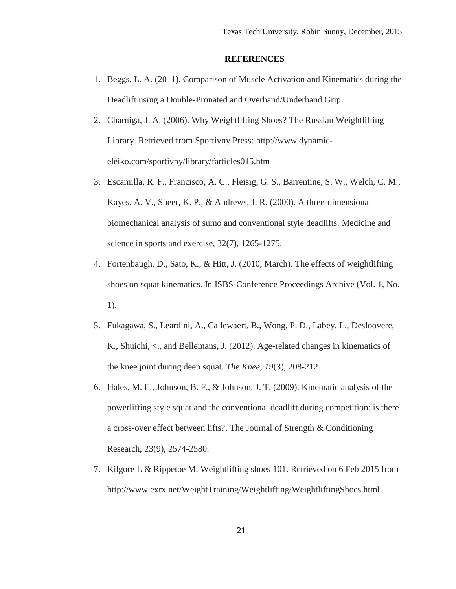#### **REFERENCES**

- 1. Beggs, L. A. (2011). Comparison of Muscle Activation and Kinematics during the Deadlift using a Double-Pronated and Overhand/Underhand Grip.
- 2. Charniga, J. A. (2006). Why Weightlifting Shoes? The Russian Weightlifting Library. Retrieved from Sportivny Press: [http://www.dynamic](http://www.dynamic-eleiko.com/sportivny/library/farticles015.htm)[eleiko.com/sportivny/library/farticles015.htm](http://www.dynamic-eleiko.com/sportivny/library/farticles015.htm)
- 3. Escamilla, R. F., Francisco, A. C., Fleisig, G. S., Barrentine, S. W., Welch, C. M., Kayes, A. V., Speer, K. P., & Andrews, J. R. (2000). A three-dimensional biomechanical analysis of sumo and conventional style deadlifts. Medicine and science in sports and exercise, 32(7), 1265-1275.
- 4. Fortenbaugh, D., Sato, K., & Hitt, J. (2010, March). The effects of weightlifting shoes on squat kinematics. In ISBS-Conference Proceedings Archive (Vol. 1, No. 1).
- 5. Fukagawa, S., Leardini, A., Callewaert, B., Wong, P. D., Labey, L., Desloovere, K., Shuichi, <., and Bellemans, J. (2012). Age-related changes in kinematics of the knee joint during deep squat. *The Knee*, *19*(3), 208-212.
- 6. Hales, M. E., Johnson, B. F., & Johnson, J. T. (2009). Kinematic analysis of the powerlifting style squat and the conventional deadlift during competition: is there a cross-over effect between lifts?. The Journal of Strength & Conditioning Research, 23(9), 2574-2580.
- 7. Kilgore L & Rippetoe M. Weightlifting shoes 101. Retrieved on 6 Feb 2015 from http://www.exrx.net/WeightTraining/Weightlifting/WeightliftingShoes.html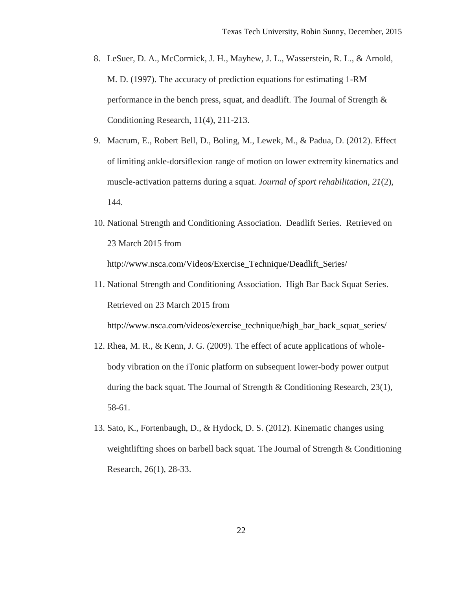- 8. LeSuer, D. A., McCormick, J. H., Mayhew, J. L., Wasserstein, R. L., & Arnold, M. D. (1997). The accuracy of prediction equations for estimating 1-RM performance in the bench press, squat, and deadlift. The Journal of Strength  $\&$ Conditioning Research, 11(4), 211-213.
- 9. Macrum, E., Robert Bell, D., Boling, M., Lewek, M., & Padua, D. (2012). Effect of limiting ankle-dorsiflexion range of motion on lower extremity kinematics and muscle-activation patterns during a squat. *Journal of sport rehabilitation*, *21*(2), 144.
- 10. National Strength and Conditioning Association. Deadlift Series. Retrieved on 23 March 2015 from http://www.nsca.com/Videos/Exercise\_Technique/Deadlift\_Series/

11. National Strength and Conditioning Association. High Bar Back Squat Series. Retrieved on 23 March 2015 from

http://www.nsca.com/videos/exercise\_technique/high\_bar\_back\_squat\_series/

- 12. Rhea, M. R., & Kenn, J. G. (2009). The effect of acute applications of wholebody vibration on the iTonic platform on subsequent lower-body power output during the back squat. The Journal of Strength  $\&$  Conditioning Research, 23(1), 58-61.
- 13. Sato, K., Fortenbaugh, D., & Hydock, D. S. (2012). Kinematic changes using weightlifting shoes on barbell back squat. The Journal of Strength & Conditioning Research, 26(1), 28-33.